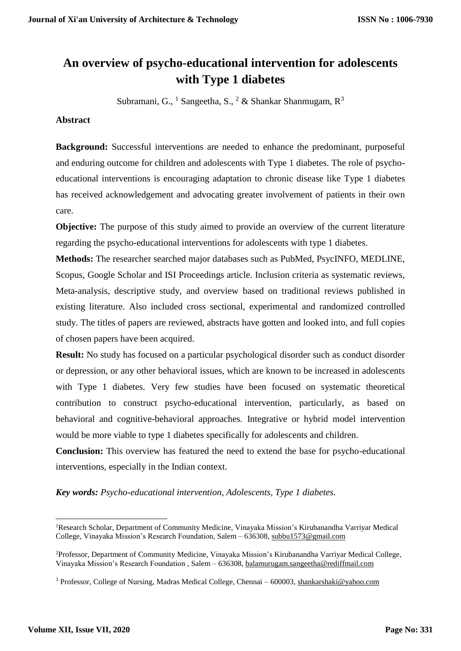# **An overview of psycho-educational intervention for adolescents with Type 1 diabetes**

Subramani, G., <sup>1</sup> Sangeetha, S., <sup>2</sup> & Shankar Shanmugam,  $R^3$ 

## **Abstract**

**Background:** Successful interventions are needed to enhance the predominant, purposeful and enduring outcome for children and adolescents with Type 1 diabetes. The role of psychoeducational interventions is encouraging adaptation to chronic disease like Type 1 diabetes has received acknowledgement and advocating greater involvement of patients in their own care.

**Objective:** The purpose of this study aimed to provide an overview of the current literature regarding the psycho-educational interventions for adolescents with type 1 diabetes.

**Methods:** The researcher searched major databases such as PubMed, PsycINFO, MEDLINE, Scopus, Google Scholar and ISI Proceedings article. Inclusion criteria as systematic reviews, Meta-analysis, descriptive study, and overview based on traditional reviews published in existing literature. Also included cross sectional, experimental and randomized controlled study. The titles of papers are reviewed, abstracts have gotten and looked into, and full copies of chosen papers have been acquired.

**Result:** No study has focused on a particular psychological disorder such as conduct disorder or depression, or any other behavioral issues, which are known to be increased in adolescents with Type 1 diabetes. Very few studies have been focused on systematic theoretical contribution to construct psycho-educational intervention, particularly, as based on behavioral and cognitive-behavioral approaches. Integrative or hybrid model intervention would be more viable to type 1 diabetes specifically for adolescents and children.

**Conclusion:** This overview has featured the need to extend the base for psycho-educational interventions, especially in the Indian context.

*Key words: Psycho-educational intervention, Adolescents, Type 1 diabetes.*

**.** 

<sup>1</sup>Research Scholar, Department of Community Medicine, Vinayaka Mission's Kirubanandha Varriyar Medical College, Vinayaka Mission's Research Foundation, Salem – 636308[, subbu1573@gmail.com](mailto:subbu1573@gmail.com)

<sup>2</sup>Professor, Department of Community Medicine, Vinayaka Mission's Kirubanandha Varriyar Medical College, Vinayaka Mission's Research Foundation , Salem – 636308, [balamurugam.sangeetha@rediffmail.com](mailto:balamurugam.sangeetha@rediffmail.com)

<sup>&</sup>lt;sup>3</sup> Professor, College of Nursing, Madras Medical College, Chennai – 600003, [shankarshaki@yahoo.com](mailto:shankarshaki@yahoo.com)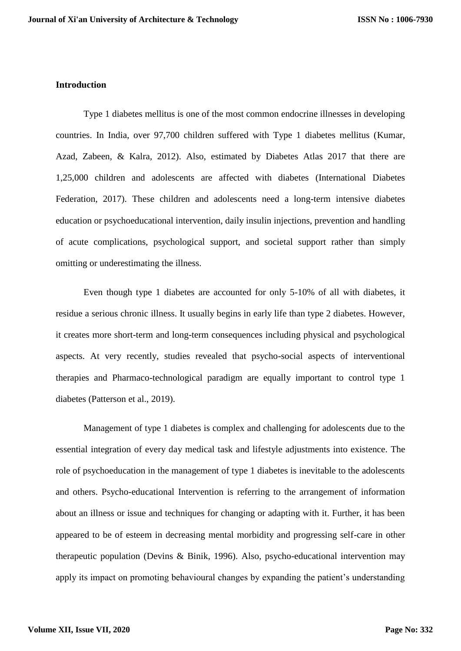#### **Introduction**

Type 1 diabetes mellitus is one of the most common endocrine illnesses in developing countries. In India, over 97,700 children suffered with Type 1 diabetes mellitus (Kumar, Azad, Zabeen, & Kalra, 2012). Also, estimated by Diabetes Atlas 2017 that there are 1,25,000 children and adolescents are affected with diabetes (International Diabetes Federation, 2017). These children and adolescents need a long-term intensive diabetes education or psychoeducational intervention, daily insulin injections, prevention and handling of acute complications, psychological support, and societal support rather than simply omitting or underestimating the illness.

Even though type 1 diabetes are accounted for only 5-10% of all with diabetes, it residue a serious chronic illness. It usually begins in early life than type 2 diabetes. However, it creates more short-term and long-term consequences including physical and psychological aspects. At very recently, studies revealed that psycho-social aspects of interventional therapies and Pharmaco-technological paradigm are equally important to control type 1 diabetes (Patterson et al., 2019).

Management of type 1 diabetes is complex and challenging for adolescents due to the essential integration of every day medical task and lifestyle adjustments into existence. The role of psychoeducation in the management of type 1 diabetes is inevitable to the adolescents and others. Psycho-educational Intervention is referring to the arrangement of information about an illness or issue and techniques for changing or adapting with it. Further, it has been appeared to be of esteem in decreasing mental morbidity and progressing self-care in other therapeutic population (Devins & Binik, 1996). Also, psycho-educational intervention may apply its impact on promoting behavioural changes by expanding the patient's understanding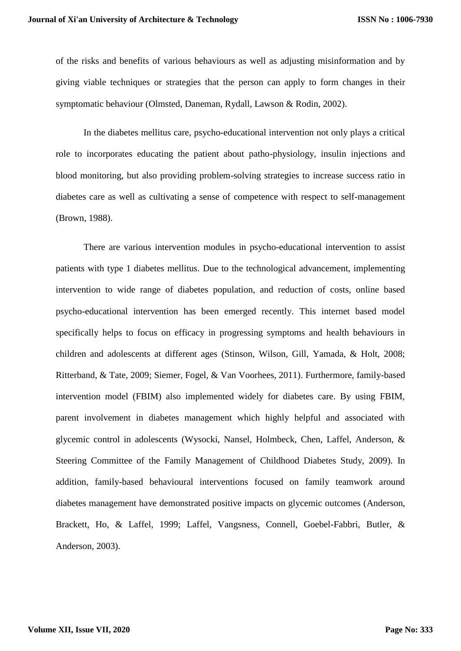of the risks and benefits of various behaviours as well as adjusting misinformation and by giving viable techniques or strategies that the person can apply to form changes in their symptomatic behaviour (Olmsted, Daneman, Rydall, Lawson & Rodin, 2002).

In the diabetes mellitus care, psycho-educational intervention not only plays a critical role to incorporates educating the patient about patho-physiology, insulin injections and blood monitoring, but also providing problem-solving strategies to increase success ratio in diabetes care as well as cultivating a sense of competence with respect to self-management (Brown, 1988).

There are various intervention modules in psycho-educational intervention to assist patients with type 1 diabetes mellitus. Due to the technological advancement, implementing intervention to wide range of diabetes population, and reduction of costs, online based psycho-educational intervention has been emerged recently. This internet based model specifically helps to focus on efficacy in progressing symptoms and health behaviours in children and adolescents at different ages (Stinson, Wilson, Gill, Yamada, & Holt, 2008; Ritterband, & Tate, 2009; Siemer, Fogel, & Van Voorhees, 2011). Furthermore, family-based intervention model (FBIM) also implemented widely for diabetes care. By using FBIM, parent involvement in diabetes management which highly helpful and associated with glycemic control in adolescents (Wysocki, Nansel, Holmbeck, Chen, Laffel, Anderson, & Steering Committee of the Family Management of Childhood Diabetes Study, 2009). In addition, family-based behavioural interventions focused on family teamwork around diabetes management have demonstrated positive impacts on glycemic outcomes (Anderson, Brackett, Ho, & Laffel, 1999; Laffel, Vangsness, Connell, Goebel-Fabbri, Butler, & Anderson, 2003).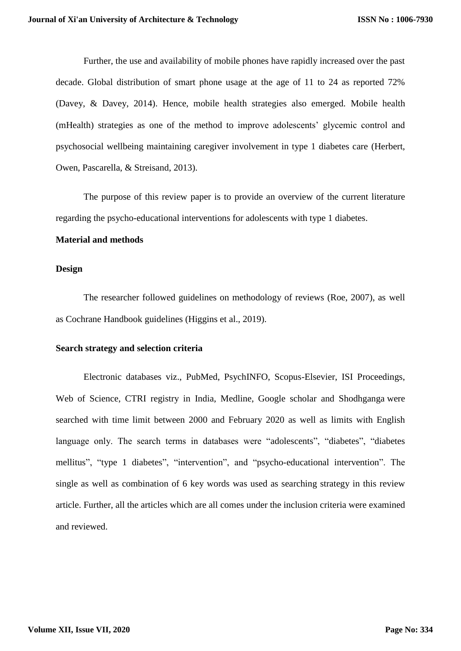Further, the use and availability of mobile phones have rapidly increased over the past decade. Global distribution of smart phone usage at the age of 11 to 24 as reported 72% (Davey, & Davey, 2014). Hence, mobile health strategies also emerged. Mobile health (mHealth) strategies as one of the method to improve adolescents' glycemic control and psychosocial wellbeing maintaining caregiver involvement in type 1 diabetes care (Herbert, Owen, Pascarella, & Streisand, 2013).

The purpose of this review paper is to provide an overview of the current literature regarding the psycho-educational interventions for adolescents with type 1 diabetes.

#### **Material and methods**

#### **Design**

The researcher followed guidelines on methodology of reviews (Roe, 2007), as well as Cochrane Handbook guidelines (Higgins et al., 2019).

#### **Search strategy and selection criteria**

Electronic databases viz., PubMed, PsychINFO, Scopus-Elsevier, ISI Proceedings, Web of Science, CTRI registry in India, Medline, Google scholar and Shodhganga were searched with time limit between 2000 and February 2020 as well as limits with English language only. The search terms in databases were "adolescents", "diabetes", "diabetes" mellitus", "type 1 diabetes", "intervention", and "psycho-educational intervention". The single as well as combination of 6 key words was used as searching strategy in this review article. Further, all the articles which are all comes under the inclusion criteria were examined and reviewed.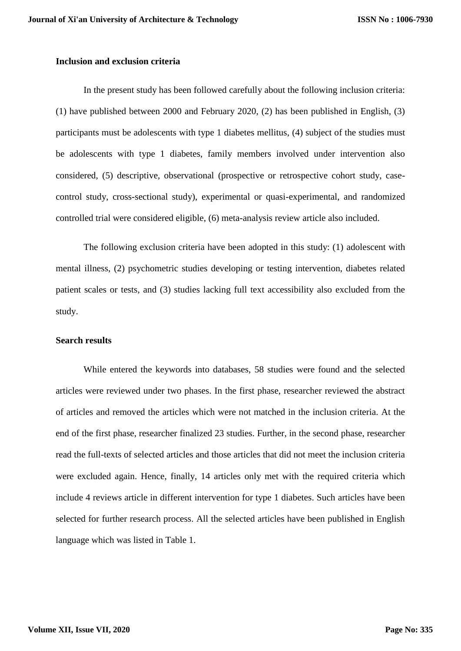#### **Inclusion and exclusion criteria**

In the present study has been followed carefully about the following inclusion criteria: (1) have published between 2000 and February 2020, (2) has been published in English, (3) participants must be adolescents with type 1 diabetes mellitus, (4) subject of the studies must be adolescents with type 1 diabetes, family members involved under intervention also considered, (5) descriptive, observational (prospective or retrospective cohort study, casecontrol study, cross-sectional study), experimental or quasi-experimental, and randomized controlled trial were considered eligible, (6) meta-analysis review article also included.

The following exclusion criteria have been adopted in this study: (1) adolescent with mental illness, (2) psychometric studies developing or testing intervention, diabetes related patient scales or tests, and (3) studies lacking full text accessibility also excluded from the study.

#### **Search results**

While entered the keywords into databases, 58 studies were found and the selected articles were reviewed under two phases. In the first phase, researcher reviewed the abstract of articles and removed the articles which were not matched in the inclusion criteria. At the end of the first phase, researcher finalized 23 studies. Further, in the second phase, researcher read the full-texts of selected articles and those articles that did not meet the inclusion criteria were excluded again. Hence, finally, 14 articles only met with the required criteria which include 4 reviews article in different intervention for type 1 diabetes. Such articles have been selected for further research process. All the selected articles have been published in English language which was listed in Table 1.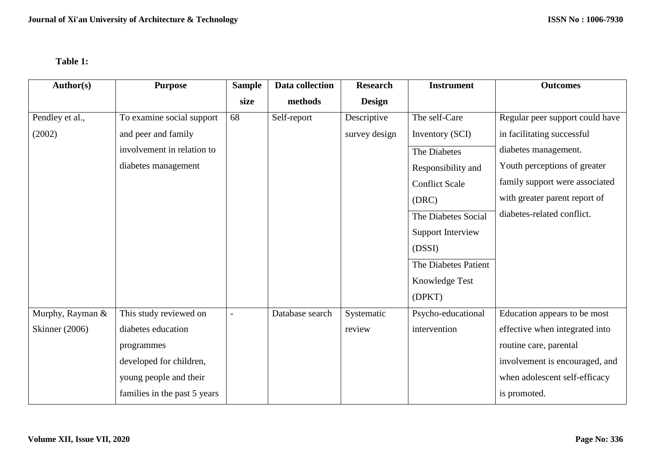# **Table 1:**

| Author(s)             | <b>Purpose</b>               | <b>Sample</b> | Data collection | <b>Research</b> | <b>Instrument</b>        | <b>Outcomes</b>                 |
|-----------------------|------------------------------|---------------|-----------------|-----------------|--------------------------|---------------------------------|
|                       |                              | size          | methods         | <b>Design</b>   |                          |                                 |
| Pendley et al.,       | To examine social support    | 68            | Self-report     | Descriptive     | The self-Care            | Regular peer support could have |
| (2002)                | and peer and family          |               |                 | survey design   | Inventory (SCI)          | in facilitating successful      |
|                       | involvement in relation to   |               |                 |                 | The Diabetes             | diabetes management.            |
|                       | diabetes management          |               |                 |                 | Responsibility and       | Youth perceptions of greater    |
|                       |                              |               |                 |                 | <b>Conflict Scale</b>    | family support were associated  |
|                       |                              |               |                 |                 | (DRC)                    | with greater parent report of   |
|                       |                              |               |                 |                 | The Diabetes Social      | diabetes-related conflict.      |
|                       |                              |               |                 |                 | <b>Support Interview</b> |                                 |
|                       |                              |               |                 |                 | (DSSI)                   |                                 |
|                       |                              |               |                 |                 | The Diabetes Patient     |                                 |
|                       |                              |               |                 |                 | Knowledge Test           |                                 |
|                       |                              |               |                 |                 | (DPKT)                   |                                 |
| Murphy, Rayman &      | This study reviewed on       |               | Database search | Systematic      | Psycho-educational       | Education appears to be most    |
| <b>Skinner</b> (2006) | diabetes education           |               |                 | review          | intervention             | effective when integrated into  |
|                       | programmes                   |               |                 |                 |                          | routine care, parental          |
|                       | developed for children,      |               |                 |                 |                          | involvement is encouraged, and  |
|                       | young people and their       |               |                 |                 |                          | when adolescent self-efficacy   |
|                       | families in the past 5 years |               |                 |                 |                          | is promoted.                    |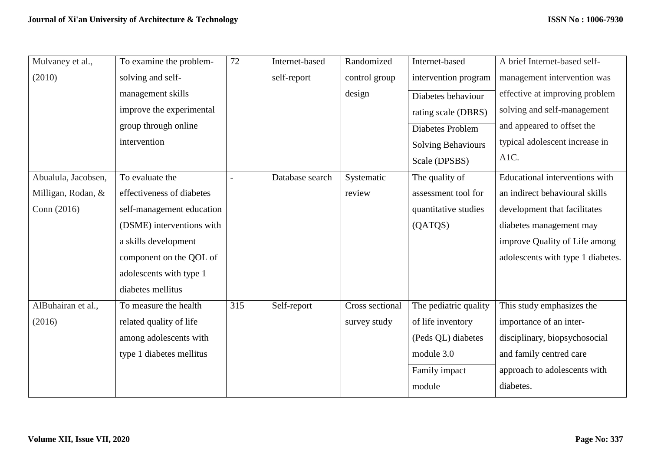| Mulvaney et al.,    | To examine the problem-   | 72  | Internet-based  | Randomized      | Internet-based            | A brief Internet-based self-          |
|---------------------|---------------------------|-----|-----------------|-----------------|---------------------------|---------------------------------------|
| (2010)              | solving and self-         |     | self-report     | control group   | intervention program      | management intervention was           |
|                     | management skills         |     |                 | design          | Diabetes behaviour        | effective at improving problem        |
|                     | improve the experimental  |     |                 |                 | rating scale (DBRS)       | solving and self-management           |
|                     | group through online      |     |                 |                 | Diabetes Problem          | and appeared to offset the            |
|                     | intervention              |     |                 |                 | <b>Solving Behaviours</b> | typical adolescent increase in        |
|                     |                           |     |                 |                 | Scale (DPSBS)             | A1C.                                  |
| Abualula, Jacobsen, | To evaluate the           |     | Database search | Systematic      | The quality of            | <b>Educational interventions with</b> |
| Milligan, Rodan, &  | effectiveness of diabetes |     |                 | review          | assessment tool for       | an indirect behavioural skills        |
| Conn $(2016)$       | self-management education |     |                 |                 | quantitative studies      | development that facilitates          |
|                     | (DSME) interventions with |     |                 |                 | (QATQS)                   | diabetes management may               |
|                     | a skills development      |     |                 |                 |                           | improve Quality of Life among         |
|                     | component on the QOL of   |     |                 |                 |                           | adolescents with type 1 diabetes.     |
|                     | adolescents with type 1   |     |                 |                 |                           |                                       |
|                     | diabetes mellitus         |     |                 |                 |                           |                                       |
| AlBuhairan et al.,  | To measure the health     | 315 | Self-report     | Cross sectional | The pediatric quality     | This study emphasizes the             |
| (2016)              | related quality of life   |     |                 | survey study    | of life inventory         | importance of an inter-               |
|                     | among adolescents with    |     |                 |                 | (Peds QL) diabetes        | disciplinary, biopsychosocial         |
|                     | type 1 diabetes mellitus  |     |                 |                 | module 3.0                | and family centred care               |
|                     |                           |     |                 |                 | Family impact             | approach to adolescents with          |
|                     |                           |     |                 |                 | module                    | diabetes.                             |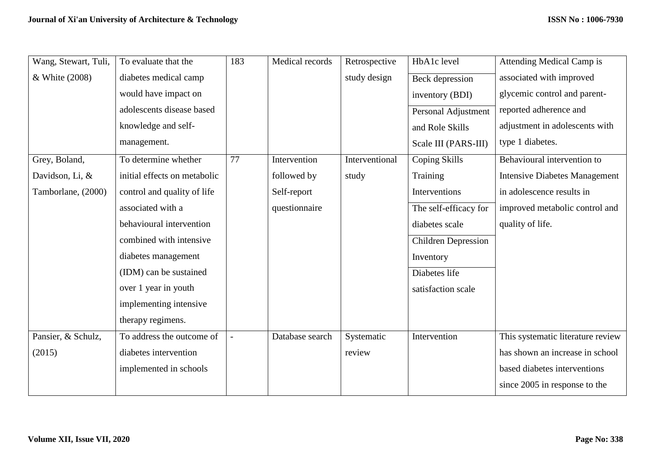| Wang, Stewart, Tuli, | To evaluate that the         | 183 | Medical records | Retrospective  | HbA1c level                | <b>Attending Medical Camp is</b>     |
|----------------------|------------------------------|-----|-----------------|----------------|----------------------------|--------------------------------------|
| & White (2008)       | diabetes medical camp        |     |                 | study design   | Beck depression            | associated with improved             |
|                      | would have impact on         |     |                 |                | inventory (BDI)            | glycemic control and parent-         |
|                      | adolescents disease based    |     |                 |                | Personal Adjustment        | reported adherence and               |
|                      | knowledge and self-          |     |                 |                | and Role Skills            | adjustment in adolescents with       |
|                      | management.                  |     |                 |                | Scale III (PARS-III)       | type 1 diabetes.                     |
| Grey, Boland,        | To determine whether         | 77  | Intervention    | Interventional | Coping Skills              | Behavioural intervention to          |
| Davidson, Li, &      | initial effects on metabolic |     | followed by     | study          | Training                   | <b>Intensive Diabetes Management</b> |
| Tamborlane, (2000)   | control and quality of life  |     | Self-report     |                | Interventions              | in adolescence results in            |
|                      | associated with a            |     | questionnaire   |                | The self-efficacy for      | improved metabolic control and       |
|                      | behavioural intervention     |     |                 |                | diabetes scale             | quality of life.                     |
|                      | combined with intensive      |     |                 |                | <b>Children Depression</b> |                                      |
|                      | diabetes management          |     |                 |                | Inventory                  |                                      |
|                      | (IDM) can be sustained       |     |                 |                | Diabetes life              |                                      |
|                      | over 1 year in youth         |     |                 |                | satisfaction scale         |                                      |
|                      | implementing intensive       |     |                 |                |                            |                                      |
|                      | therapy regimens.            |     |                 |                |                            |                                      |
| Pansier, & Schulz,   | To address the outcome of    |     | Database search | Systematic     | Intervention               | This systematic literature review    |
| (2015)               | diabetes intervention        |     |                 | review         |                            | has shown an increase in school      |
|                      | implemented in schools       |     |                 |                |                            | based diabetes interventions         |
|                      |                              |     |                 |                |                            | since 2005 in response to the        |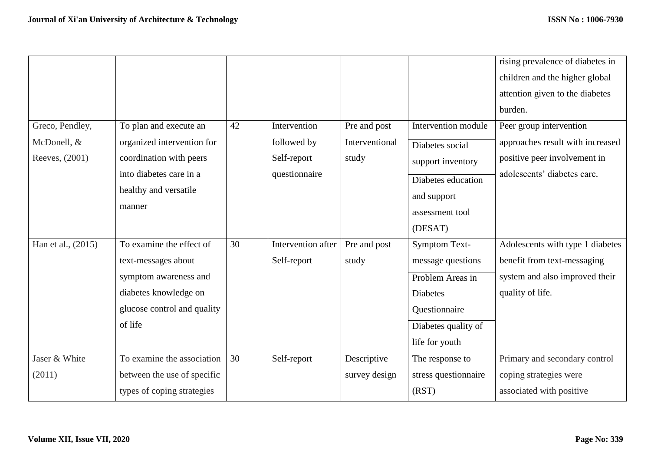|                                                  |                                                                                                                                               |    |                                                             |                                         |                                                                                                                                            | rising prevalence of diabetes in<br>children and the higher global<br>attention given to the diabetes<br>burden.           |
|--------------------------------------------------|-----------------------------------------------------------------------------------------------------------------------------------------------|----|-------------------------------------------------------------|-----------------------------------------|--------------------------------------------------------------------------------------------------------------------------------------------|----------------------------------------------------------------------------------------------------------------------------|
| Greco, Pendley,<br>McDonell, &<br>Reeves, (2001) | To plan and execute an<br>organized intervention for<br>coordination with peers<br>into diabetes care in a<br>healthy and versatile<br>manner | 42 | Intervention<br>followed by<br>Self-report<br>questionnaire | Pre and post<br>Interventional<br>study | Intervention module<br>Diabetes social<br>support inventory<br>Diabetes education<br>and support<br>assessment tool<br>(DESAT)             | Peer group intervention<br>approaches result with increased<br>positive peer involvement in<br>adolescents' diabetes care. |
| Han et al., (2015)                               | To examine the effect of<br>text-messages about<br>symptom awareness and<br>diabetes knowledge on<br>glucose control and quality<br>of life   | 30 | Intervention after<br>Self-report                           | Pre and post<br>study                   | <b>Symptom Text-</b><br>message questions<br>Problem Areas in<br><b>Diabetes</b><br>Questionnaire<br>Diabetes quality of<br>life for youth | Adolescents with type 1 diabetes<br>benefit from text-messaging<br>system and also improved their<br>quality of life.      |
| Jaser & White<br>(2011)                          | To examine the association<br>between the use of specific<br>types of coping strategies                                                       | 30 | Self-report                                                 | Descriptive<br>survey design            | The response to<br>stress questionnaire<br>(RST)                                                                                           | Primary and secondary control<br>coping strategies were<br>associated with positive                                        |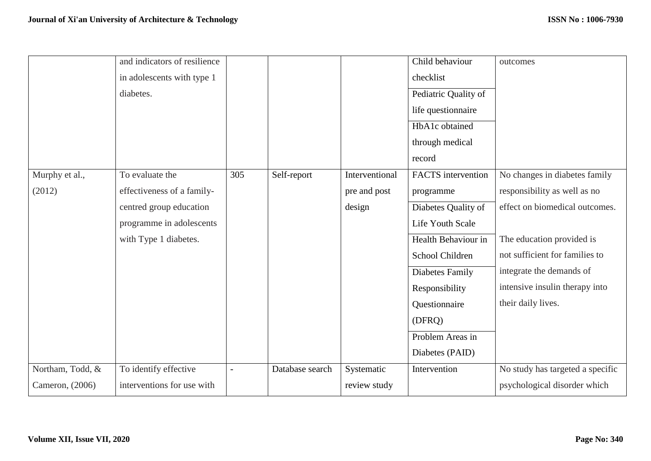|                  | and indicators of resilience |     |                 |                | Child behaviour           | outcomes                         |
|------------------|------------------------------|-----|-----------------|----------------|---------------------------|----------------------------------|
|                  | in adolescents with type 1   |     |                 |                | checklist                 |                                  |
|                  | diabetes.                    |     |                 |                | Pediatric Quality of      |                                  |
|                  |                              |     |                 |                | life questionnaire        |                                  |
|                  |                              |     |                 |                | HbA1c obtained            |                                  |
|                  |                              |     |                 |                | through medical           |                                  |
|                  |                              |     |                 |                | record                    |                                  |
| Murphy et al.,   | To evaluate the              | 305 | Self-report     | Interventional | <b>FACTS</b> intervention | No changes in diabetes family    |
| (2012)           | effectiveness of a family-   |     |                 | pre and post   | programme                 | responsibility as well as no     |
|                  | centred group education      |     |                 | design         | Diabetes Quality of       | effect on biomedical outcomes.   |
|                  | programme in adolescents     |     |                 |                | Life Youth Scale          |                                  |
|                  | with Type 1 diabetes.        |     |                 |                | Health Behaviour in       | The education provided is        |
|                  |                              |     |                 |                | School Children           | not sufficient for families to   |
|                  |                              |     |                 |                | Diabetes Family           | integrate the demands of         |
|                  |                              |     |                 |                | Responsibility            | intensive insulin therapy into   |
|                  |                              |     |                 |                | Questionnaire             | their daily lives.               |
|                  |                              |     |                 |                | (DFRQ)                    |                                  |
|                  |                              |     |                 |                | Problem Areas in          |                                  |
|                  |                              |     |                 |                | Diabetes (PAID)           |                                  |
| Northam, Todd, & | To identify effective        |     | Database search | Systematic     | Intervention              | No study has targeted a specific |
| Cameron, (2006)  | interventions for use with   |     |                 | review study   |                           | psychological disorder which     |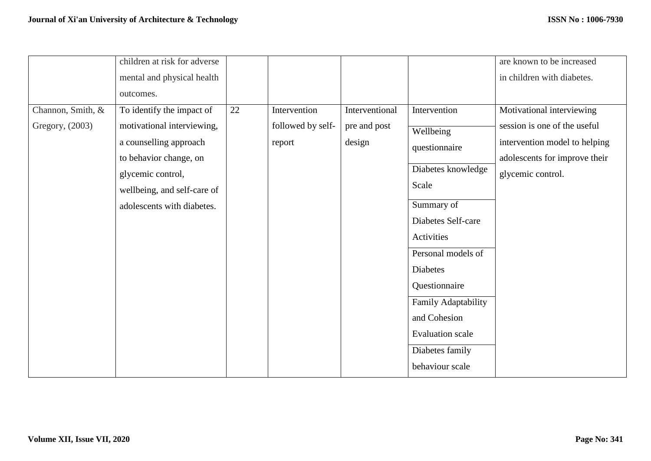|                                      | children at risk for adverse<br>mental and physical health<br>outcomes.                                                                                                                       |    |                                             |                                          |                                                                                                                                                                                                                                                                                               | are known to be increased<br>in children with diabetes.                                                                                          |
|--------------------------------------|-----------------------------------------------------------------------------------------------------------------------------------------------------------------------------------------------|----|---------------------------------------------|------------------------------------------|-----------------------------------------------------------------------------------------------------------------------------------------------------------------------------------------------------------------------------------------------------------------------------------------------|--------------------------------------------------------------------------------------------------------------------------------------------------|
| Channon, Smith, &<br>Gregory, (2003) | To identify the impact of<br>motivational interviewing,<br>a counselling approach<br>to behavior change, on<br>glycemic control,<br>wellbeing, and self-care of<br>adolescents with diabetes. | 22 | Intervention<br>followed by self-<br>report | Interventional<br>pre and post<br>design | Intervention<br>Wellbeing<br>questionnaire<br>Diabetes knowledge<br>Scale<br>Summary of<br>Diabetes Self-care<br>Activities<br>Personal models of<br><b>Diabetes</b><br>Questionnaire<br>Family Adaptability<br>and Cohesion<br><b>Evaluation</b> scale<br>Diabetes family<br>behaviour scale | Motivational interviewing<br>session is one of the useful<br>intervention model to helping<br>adolescents for improve their<br>glycemic control. |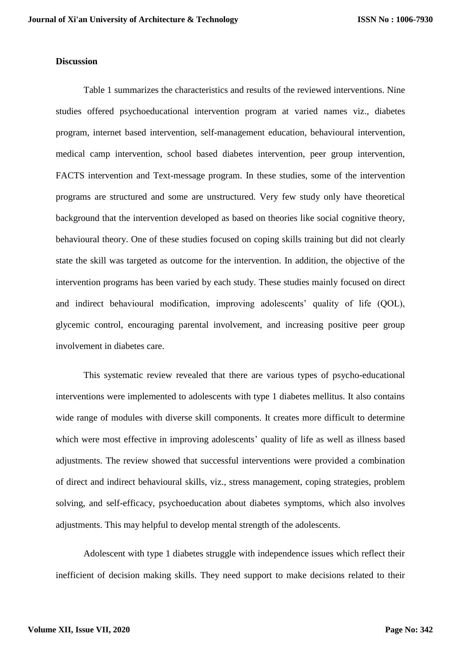#### **Discussion**

Table 1 summarizes the characteristics and results of the reviewed interventions. Nine studies offered psychoeducational intervention program at varied names viz., diabetes program, internet based intervention, self-management education, behavioural intervention, medical camp intervention, school based diabetes intervention, peer group intervention, FACTS intervention and Text-message program. In these studies, some of the intervention programs are structured and some are unstructured. Very few study only have theoretical background that the intervention developed as based on theories like social cognitive theory, behavioural theory. One of these studies focused on coping skills training but did not clearly state the skill was targeted as outcome for the intervention. In addition, the objective of the intervention programs has been varied by each study. These studies mainly focused on direct and indirect behavioural modification, improving adolescents' quality of life (QOL), glycemic control, encouraging parental involvement, and increasing positive peer group involvement in diabetes care.

This systematic review revealed that there are various types of psycho-educational interventions were implemented to adolescents with type 1 diabetes mellitus. It also contains wide range of modules with diverse skill components. It creates more difficult to determine which were most effective in improving adolescents' quality of life as well as illness based adjustments. The review showed that successful interventions were provided a combination of direct and indirect behavioural skills, viz., stress management, coping strategies, problem solving, and self-efficacy, psychoeducation about diabetes symptoms, which also involves adjustments. This may helpful to develop mental strength of the adolescents.

Adolescent with type 1 diabetes struggle with independence issues which reflect their inefficient of decision making skills. They need support to make decisions related to their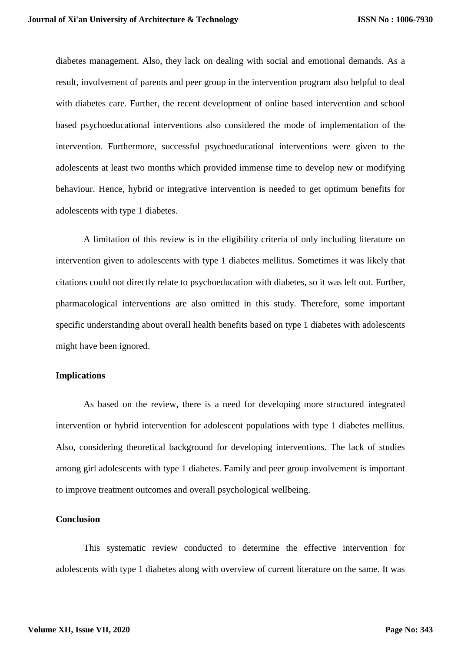diabetes management. Also, they lack on dealing with social and emotional demands. As a result, involvement of parents and peer group in the intervention program also helpful to deal with diabetes care. Further, the recent development of online based intervention and school based psychoeducational interventions also considered the mode of implementation of the intervention. Furthermore, successful psychoeducational interventions were given to the adolescents at least two months which provided immense time to develop new or modifying behaviour. Hence, hybrid or integrative intervention is needed to get optimum benefits for adolescents with type 1 diabetes.

A limitation of this review is in the eligibility criteria of only including literature on intervention given to adolescents with type 1 diabetes mellitus. Sometimes it was likely that citations could not directly relate to psychoeducation with diabetes, so it was left out. Further, pharmacological interventions are also omitted in this study. Therefore, some important specific understanding about overall health benefits based on type 1 diabetes with adolescents might have been ignored.

#### **Implications**

As based on the review, there is a need for developing more structured integrated intervention or hybrid intervention for adolescent populations with type 1 diabetes mellitus. Also, considering theoretical background for developing interventions. The lack of studies among girl adolescents with type 1 diabetes. Family and peer group involvement is important to improve treatment outcomes and overall psychological wellbeing.

#### **Conclusion**

This systematic review conducted to determine the effective intervention for adolescents with type 1 diabetes along with overview of current literature on the same. It was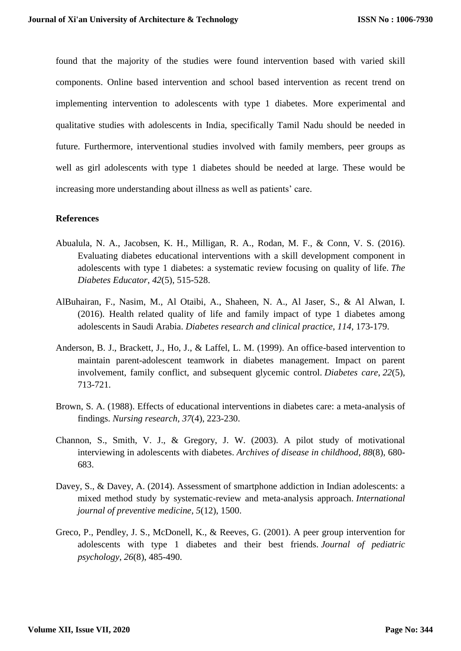found that the majority of the studies were found intervention based with varied skill components. Online based intervention and school based intervention as recent trend on implementing intervention to adolescents with type 1 diabetes. More experimental and qualitative studies with adolescents in India, specifically Tamil Nadu should be needed in future. Furthermore, interventional studies involved with family members, peer groups as well as girl adolescents with type 1 diabetes should be needed at large. These would be increasing more understanding about illness as well as patients' care.

### **References**

- Abualula, N. A., Jacobsen, K. H., Milligan, R. A., Rodan, M. F., & Conn, V. S. (2016). Evaluating diabetes educational interventions with a skill development component in adolescents with type 1 diabetes: a systematic review focusing on quality of life. *The Diabetes Educator*, *42*(5), 515-528.
- AlBuhairan, F., Nasim, M., Al Otaibi, A., Shaheen, N. A., Al Jaser, S., & Al Alwan, I. (2016). Health related quality of life and family impact of type 1 diabetes among adolescents in Saudi Arabia. *Diabetes research and clinical practice*, *114*, 173-179.
- Anderson, B. J., Brackett, J., Ho, J., & Laffel, L. M. (1999). An office-based intervention to maintain parent-adolescent teamwork in diabetes management. Impact on parent involvement, family conflict, and subsequent glycemic control. *Diabetes care*, *22*(5), 713-721.
- Brown, S. A. (1988). Effects of educational interventions in diabetes care: a meta-analysis of findings. *Nursing research*, *37*(4), 223-230.
- Channon, S., Smith, V. J., & Gregory, J. W. (2003). A pilot study of motivational interviewing in adolescents with diabetes. *Archives of disease in childhood*, *88*(8), 680- 683.
- Davey, S., & Davey, A. (2014). Assessment of smartphone addiction in Indian adolescents: a mixed method study by systematic-review and meta-analysis approach. *International journal of preventive medicine*, *5*(12), 1500.
- Greco, P., Pendley, J. S., McDonell, K., & Reeves, G. (2001). A peer group intervention for adolescents with type 1 diabetes and their best friends. *Journal of pediatric psychology*, *26*(8), 485-490.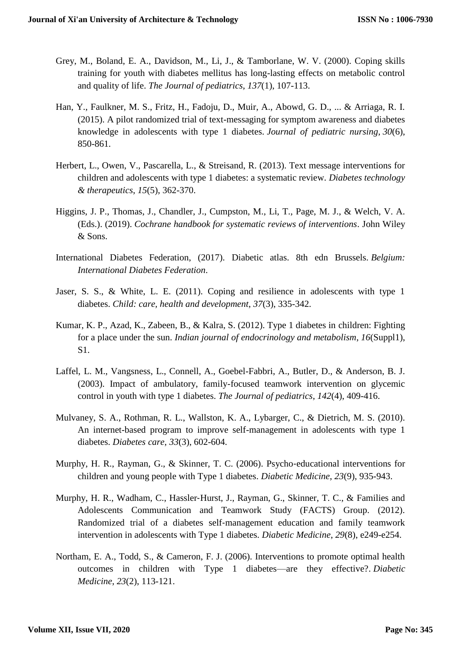- Grey, M., Boland, E. A., Davidson, M., Li, J., & Tamborlane, W. V. (2000). Coping skills training for youth with diabetes mellitus has long-lasting effects on metabolic control and quality of life. *The Journal of pediatrics*, *137*(1), 107-113.
- Han, Y., Faulkner, M. S., Fritz, H., Fadoju, D., Muir, A., Abowd, G. D., ... & Arriaga, R. I. (2015). A pilot randomized trial of text-messaging for symptom awareness and diabetes knowledge in adolescents with type 1 diabetes. *Journal of pediatric nursing*, *30*(6), 850-861.
- Herbert, L., Owen, V., Pascarella, L., & Streisand, R. (2013). Text message interventions for children and adolescents with type 1 diabetes: a systematic review. *Diabetes technology & therapeutics*, *15*(5), 362-370.
- Higgins, J. P., Thomas, J., Chandler, J., Cumpston, M., Li, T., Page, M. J., & Welch, V. A. (Eds.). (2019). *Cochrane handbook for systematic reviews of interventions*. John Wiley & Sons.
- International Diabetes Federation, (2017). Diabetic atlas. 8th edn Brussels. *Belgium: International Diabetes Federation*.
- Jaser, S. S., & White, L. E. (2011). Coping and resilience in adolescents with type 1 diabetes. *Child: care, health and development*, *37*(3), 335-342.
- Kumar, K. P., Azad, K., Zabeen, B., & Kalra, S. (2012). Type 1 diabetes in children: Fighting for a place under the sun. *Indian journal of endocrinology and metabolism*, *16*(Suppl1), S1.
- Laffel, L. M., Vangsness, L., Connell, A., Goebel-Fabbri, A., Butler, D., & Anderson, B. J. (2003). Impact of ambulatory, family-focused teamwork intervention on glycemic control in youth with type 1 diabetes. *The Journal of pediatrics*, *142*(4), 409-416.
- Mulvaney, S. A., Rothman, R. L., Wallston, K. A., Lybarger, C., & Dietrich, M. S. (2010). An internet-based program to improve self-management in adolescents with type 1 diabetes. *Diabetes care*, *33*(3), 602-604.
- Murphy, H. R., Rayman, G., & Skinner, T. C. (2006). Psycho-educational interventions for children and young people with Type 1 diabetes. *Diabetic Medicine*, *23*(9), 935-943.
- Murphy, H. R., Wadham, C., Hassler-Hurst, J., Rayman, G., Skinner, T. C., & Families and Adolescents Communication and Teamwork Study (FACTS) Group. (2012). Randomized trial of a diabetes self-management education and family teamwork intervention in adolescents with Type 1 diabetes. *Diabetic Medicine*, *29*(8), e249-e254.
- Northam, E. A., Todd, S., & Cameron, F. J. (2006). Interventions to promote optimal health outcomes in children with Type 1 diabetes—are they effective?. *Diabetic Medicine*, *23*(2), 113-121.